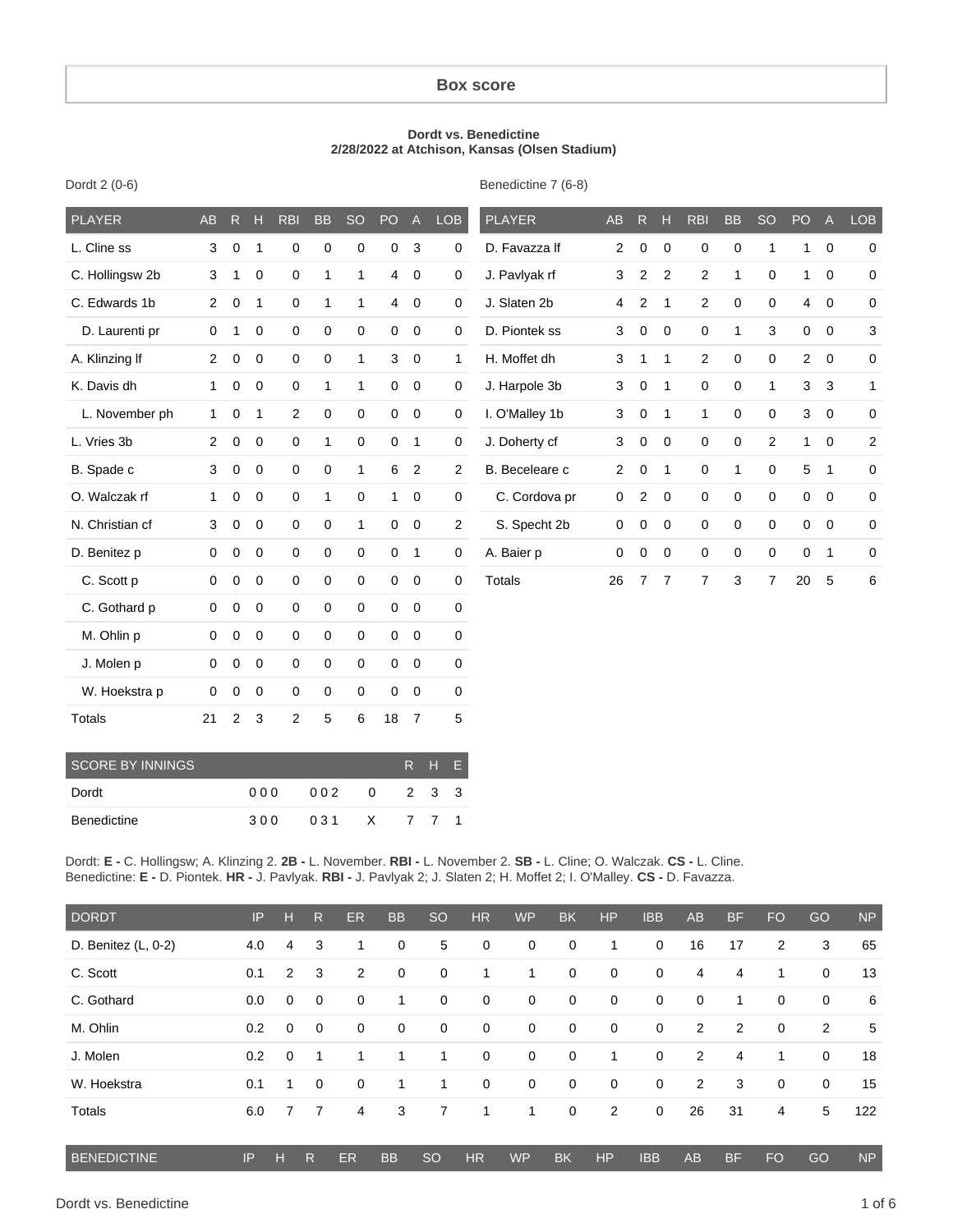#### **Box score**

#### **Dordt vs. Benedictine 2/28/2022 at Atchison, Kansas (Olsen Stadium)**

| <b>PLAYER</b>   | <b>AB</b>      | R           | H            | <b>RBI</b>  | <b>BB</b>   | <b>SO</b>    | PO <sub>1</sub> | $\overline{A}$ | <b>LOB</b>     | <b>PLAYER</b>  | <b>AB</b>      | R.             | н              | <b>RBI</b>     | <b>BB</b>        | <b>SO</b>      | PO             | $\overline{A}$ | <b>LOB</b>     |
|-----------------|----------------|-------------|--------------|-------------|-------------|--------------|-----------------|----------------|----------------|----------------|----------------|----------------|----------------|----------------|------------------|----------------|----------------|----------------|----------------|
| L. Cline ss     | 3              | $\mathbf 0$ | $\mathbf 1$  | 0           | $\mathbf 0$ | $\mathbf 0$  | $\mathbf 0$     | $\mathbf{3}$   | 0              | D. Favazza If  | 2              | 0              | $\mathbf 0$    | 0              | 0                | 1              | $\mathbf{1}$   | $\mathbf 0$    | $\mathbf 0$    |
| C. Hollingsw 2b | 3              | 1           | 0            | $\mathbf 0$ | 1           | $\mathbf{1}$ | $\overline{4}$  | $\mathbf 0$    | 0              | J. Pavlyak rf  | 3              | $\overline{2}$ | 2              | $\overline{2}$ | $\mathbf{1}$     | $\mathbf 0$    | 1              | 0              | $\mathbf 0$    |
| C. Edwards 1b   | $\overline{2}$ | 0           | $\mathbf 1$  | $\mathbf 0$ | 1           | $\mathbf{1}$ | $\overline{4}$  | $\mathbf 0$    | 0              | J. Slaten 2b   | 4              | 2              | $\overline{1}$ | $\overline{2}$ | $\pmb{0}$        | $\mathbf 0$    | $\overline{4}$ | $\mathbf 0$    | $\mathbf 0$    |
| D. Laurenti pr  | 0              | 1           | 0            | $\mathbf 0$ | $\mathbf 0$ | $\mathbf 0$  | $\overline{0}$  | $\mathbf 0$    | 0              | D. Piontek ss  | 3              | $\mathbf 0$    | $\mathbf 0$    | 0              | $\mathbf{1}$     | 3              | $\mathbf 0$    | $\mathbf 0$    | 3              |
| A. Klinzing If  | $\overline{2}$ | $\mathbf 0$ | 0            | $\mathbf 0$ | $\mathbf 0$ | $\mathbf{1}$ | 3               | $\mathbf 0$    | 1              | H. Moffet dh   | 3              | 1              | $\mathbf{1}$   | 2              | 0                | $\mathbf 0$    | $\overline{2}$ | $\mathbf 0$    | $\mathbf 0$    |
| K. Davis dh     | 1              | 0           | 0            | $\mathbf 0$ | 1           | $\mathbf{1}$ | $\overline{0}$  | $\mathbf 0$    | 0              | J. Harpole 3b  | 3              | $\mathbf 0$    | $\overline{1}$ | 0              | $\pmb{0}$        | 1              | 3              | 3              | 1              |
| L. November ph  | $\mathbf{1}$   | $\mathbf 0$ | $\mathbf{1}$ | 2           | $\mathbf 0$ | $\mathbf 0$  |                 | $0\quad 0$     | 0              | I. O'Malley 1b | 3              | $\mathbf 0$    | $\overline{1}$ | $\mathbf{1}$   | 0                | $\mathbf 0$    | 3              | $\mathbf 0$    | 0              |
| L. Vries 3b     | $\overline{c}$ | $\mathbf 0$ | 0            | $\mathbf 0$ | 1           | $\mathbf 0$  | $\mathbf 0$     | $\overline{1}$ | 0              | J. Doherty cf  | 3              | $\mathbf 0$    | $\mathbf 0$    | $\mathbf 0$    | $\pmb{0}$        | $\overline{2}$ | $\mathbf{1}$   | $\mathbf 0$    | $\overline{a}$ |
| B. Spade c      | 3              | $\mathbf 0$ | 0            | $\mathbf 0$ | $\mathbf 0$ | $\mathbf{1}$ | 6               | $\overline{2}$ | $\overline{2}$ | B. Beceleare c | $\overline{c}$ | $\mathbf 0$    | $\mathbf{1}$   | 0              | $\mathbf{1}$     | $\mathbf 0$    | 5              | $\mathbf{1}$   | $\overline{0}$ |
| O. Walczak rf   | 1              | $\mathbf 0$ | $\mathbf 0$  | $\mathbf 0$ | 1           | $\mathbf 0$  | $\mathbf{1}$    | $\mathbf 0$    | 0              | C. Cordova pr  | 0              | $\overline{2}$ | $\mathbf 0$    | $\mathbf 0$    | $\boldsymbol{0}$ | $\mathbf 0$    | $\mathbf 0$    | $\mathbf 0$    | 0              |
| N. Christian cf | 3              | $\mathbf 0$ | 0            | $\mathbf 0$ | $\mathbf 0$ | $\mathbf{1}$ | $\mathbf{0}$    | $\mathbf 0$    | $\overline{2}$ | S. Specht 2b   | 0              | $\mathbf 0$    | $\mathbf 0$    | 0              | 0                | $\mathbf 0$    | $\mathbf 0$    | $\mathbf 0$    | $\overline{0}$ |
| D. Benitez p    | 0              | $\mathbf 0$ | 0            | $\mathbf 0$ | $\mathbf 0$ | $\mathbf 0$  | $\mathbf{0}$    | $\overline{1}$ | 0              | A. Baier p     | 0              | 0              | $\mathbf 0$    | 0              | 0                | $\mathbf 0$    | 0              | $\mathbf 1$    | 0              |
| C. Scott p      | 0              | $\mathbf 0$ | 0            | $\mathbf 0$ | $\mathbf 0$ | $\mathbf 0$  | $\overline{0}$  | $\mathbf 0$    | 0              | <b>Totals</b>  | 26             | 7              | $\overline{7}$ | $\overline{7}$ | 3                | $\overline{7}$ | 20             | 5              | 6              |
| C. Gothard p    | 0              | $\mathbf 0$ | $\mathbf 0$  | $\mathbf 0$ | $\mathbf 0$ | $\mathbf 0$  | $\Omega$        | $\overline{0}$ | 0              |                |                |                |                |                |                  |                |                |                |                |
| M. Ohlin p      | 0              | $\mathbf 0$ | 0            | $\mathbf 0$ | $\mathbf 0$ | $\mathbf 0$  | $\mathbf{0}$    | $\mathbf 0$    | 0              |                |                |                |                |                |                  |                |                |                |                |
| J. Molen p      | 0              | $\mathbf 0$ | $\mathbf 0$  | $\mathbf 0$ | $\mathbf 0$ | $\mathbf 0$  | $\overline{0}$  | $\mathbf 0$    | 0              |                |                |                |                |                |                  |                |                |                |                |
| W. Hoekstra p   | 0              | $\mathbf 0$ | $\mathbf 0$  | 0           | 0           | $\Omega$     | $\Omega$        | $\mathbf 0$    | 0              |                |                |                |                |                |                  |                |                |                |                |
|                 |                |             |              |             |             |              |                 |                |                |                |                |                |                |                |                  |                |                |                |                |

| <b>SCORE BY INNINGS</b> |      |       |          |       | R H E |  |
|-------------------------|------|-------|----------|-------|-------|--|
| Dordt                   | 00 Q | 002   | $\Omega$ | 2 3 3 |       |  |
| Benedictine             | 300  | 031 X |          | 771   |       |  |

Totals 21 2 3 2 5 6 18 7 5

Dordt: **E -** C. Hollingsw; A. Klinzing 2. **2B -** L. November. **RBI -** L. November 2. **SB -** L. Cline; O. Walczak. **CS -** L. Cline. Benedictine: **E -** D. Piontek. **HR -** J. Pavlyak. **RBI -** J. Pavlyak 2; J. Slaten 2; H. Moffet 2; I. O'Malley. **CS -** D. Favazza.

| <b>DORDT</b>          | IP  | н              | R           | ER          | <b>BB</b>   | <sub>SO</sub> | <b>HR</b>   | <b>WP</b>    | <b>BK</b>   | <b>HP</b>      | <b>IBB</b>  | <b>AB</b>      | <b>BF</b>   | <b>FO</b>   | GO          | <b>NP</b> |
|-----------------------|-----|----------------|-------------|-------------|-------------|---------------|-------------|--------------|-------------|----------------|-------------|----------------|-------------|-------------|-------------|-----------|
| D. Benitez $(L, 0-2)$ | 4.0 | 4              | 3           | 1           | $\mathbf 0$ | 5             | $\mathbf 0$ | $\mathbf 0$  | $\mathbf 0$ | 1              | $\mathbf 0$ | 16             | 17          | 2           | 3           | 65        |
| C. Scott              | 0.1 | $\overline{2}$ | 3           | 2           | $\mathbf 0$ | $\mathbf 0$   | 1           | $\mathbf{1}$ | $\mathbf 0$ | $\mathbf 0$    | 0           | 4              | 4           | $\mathbf 1$ | $\mathbf 0$ | 13        |
| C. Gothard            | 0.0 | $\Omega$       | $\mathbf 0$ | $\mathbf 0$ | 1           | 0             | $\mathbf 0$ | $\mathbf 0$  | $\mathbf 0$ | $\mathbf 0$    | 0           | 0              | $\mathbf 1$ | 0           | $\mathbf 0$ | 6         |
| M. Ohlin              | 0.2 | $\mathbf 0$    | $\mathbf 0$ | 0           | $\mathbf 0$ | $\mathbf 0$   | $\mathbf 0$ | $\mathbf 0$  | $\mathbf 0$ | $\mathbf 0$    | 0           | $\overline{2}$ | 2           | 0           | 2           | 5         |
| J. Molen              | 0.2 | $\Omega$       | 1           | 1           | 1           | 1             | $\mathbf 0$ | $\mathbf 0$  | $\mathbf 0$ | $\mathbf{1}$   | 0           | 2              | 4           | 1           | $\mathbf 0$ | 18        |
| W. Hoekstra           | 0.1 | 1              | $\mathbf 0$ | 0           | 1           | 1             | $\mathbf 0$ | $\mathbf 0$  | $\mathbf 0$ | $\mathbf 0$    | 0           | $\overline{2}$ | 3           | $\mathbf 0$ | $\mathbf 0$ | 15        |
| Totals                | 6.0 | 7              | 7           | 4           | 3           | 7             | 1           | 1            | 0           | $\overline{2}$ | $\mathbf 0$ | 26             | 31          | 4           | 5           | 122       |
| <b>BENEDICTINE</b>    | IP  | н              | R           | <b>ER</b>   | <b>BB</b>   | <b>SO</b>     | <b>HR</b>   | <b>WP</b>    | <b>BK</b>   | <b>HP</b>      | <b>IBB</b>  | <b>AB</b>      | <b>BF</b>   | <b>FO</b>   | GO          | <b>NP</b> |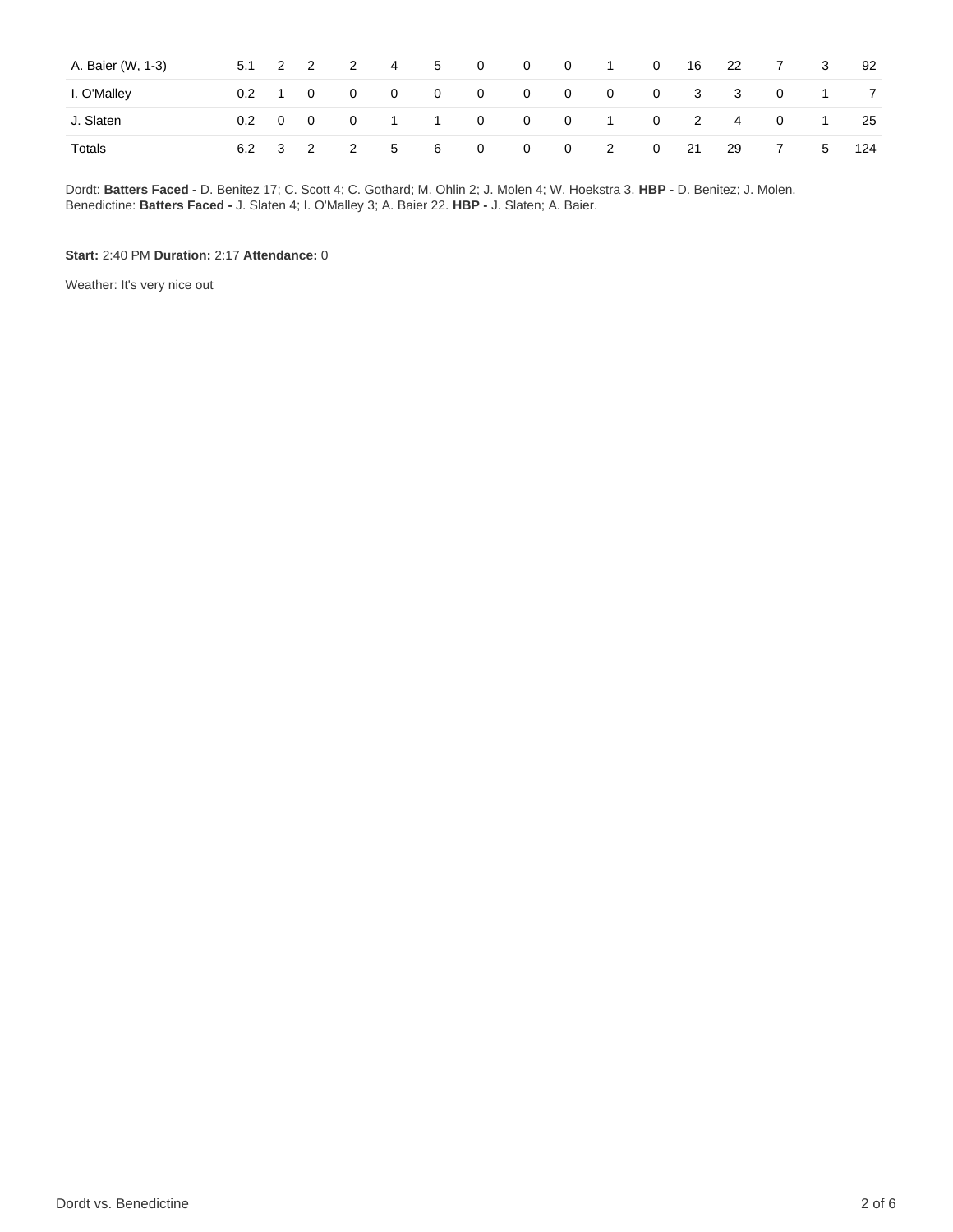| A. Baier (W, 1-3) | 5.1                   | $2 \quad 2$ | 2                       | $\overline{4}$  | $5^{\circ}$    | $\overline{\mathbf{0}}$         | $\mathbf{0}$ | $\overline{\mathbf{0}}$ | $\sim$ 1       | $\overline{\mathbf{0}}$ | 16 | - 22 | 7              | 3              | 92  |
|-------------------|-----------------------|-------------|-------------------------|-----------------|----------------|---------------------------------|--------------|-------------------------|----------------|-------------------------|----|------|----------------|----------------|-----|
| I. O'Malley       | $0.2 \quad 1 \quad 0$ |             | $\overline{0}$          | $\overline{0}$  | $\overline{0}$ | $\begin{matrix}0&0\end{matrix}$ |              |                         | 0 0 0 3 3      |                         |    |      | $\overline{0}$ | $\sim$ 1       |     |
| J. Slaten         | $0.2 \quad 0 \quad 0$ |             | $\overline{\mathbf{0}}$ |                 |                | 1 1 0 0 0 1 0 2 4 0             |              |                         |                |                         |    |      |                | $\overline{1}$ | 25  |
| Totals            | 6.2 3 2               |             | $\overline{2}$          | $\sim$ 5 $\sim$ | 6              | $\overline{\mathbf{0}}$         | $\mathbf{0}$ | $\overline{0}$          | $\overline{2}$ | $\overline{0}$          | 21 | - 29 | 7              | 5 <sup>5</sup> | 124 |

Dordt: **Batters Faced -** D. Benitez 17; C. Scott 4; C. Gothard; M. Ohlin 2; J. Molen 4; W. Hoekstra 3. **HBP -** D. Benitez; J. Molen. Benedictine: **Batters Faced -** J. Slaten 4; I. O'Malley 3; A. Baier 22. **HBP -** J. Slaten; A. Baier.

**Start:** 2:40 PM **Duration:** 2:17 **Attendance:** 0

Weather: It's very nice out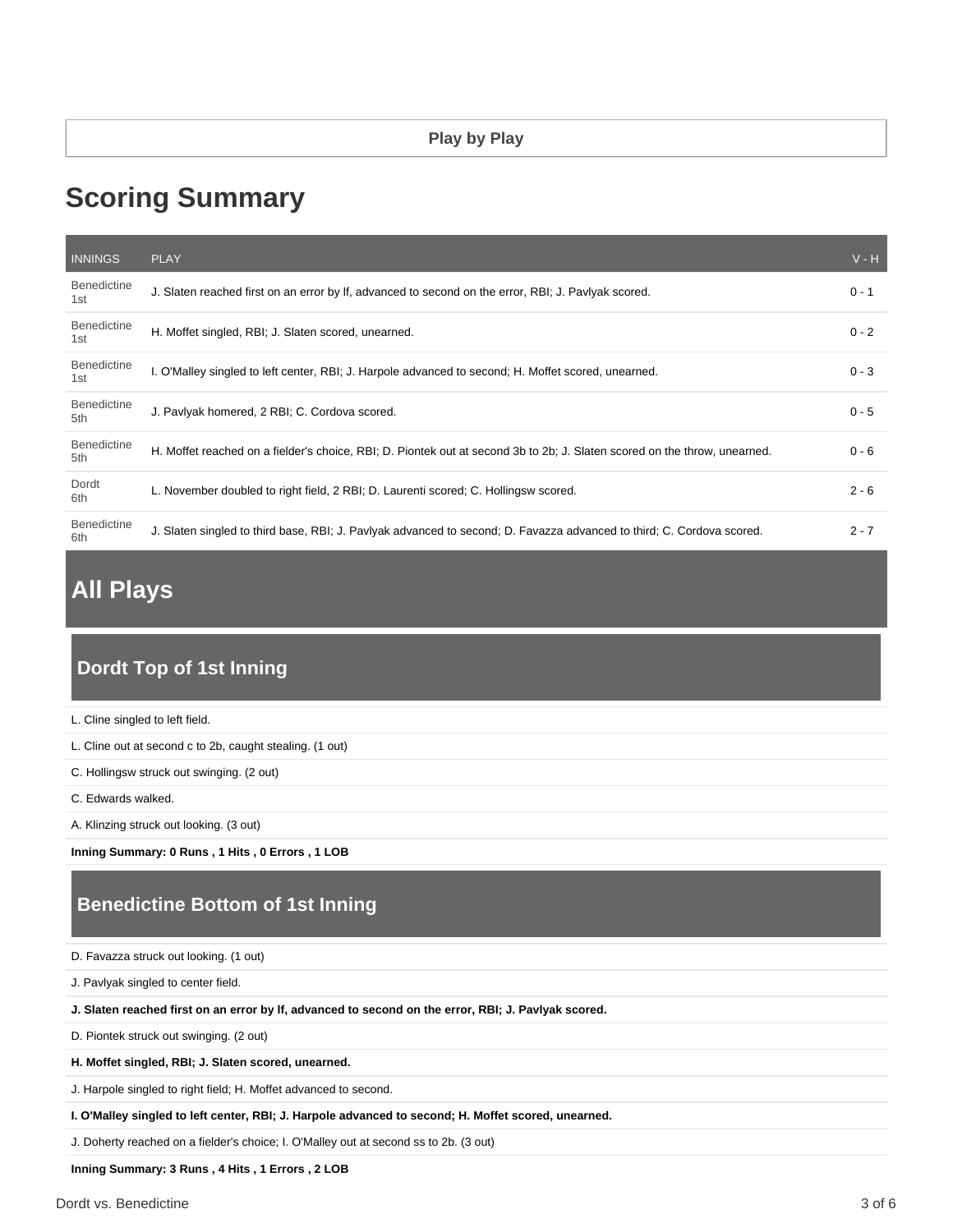### **Play by Play**

# **Scoring Summary**

| <b>INNINGS</b>            | <b>PLAY</b>                                                                                                               | $V - H$ |
|---------------------------|---------------------------------------------------------------------------------------------------------------------------|---------|
| <b>Benedictine</b><br>1st | J. Slaten reached first on an error by If, advanced to second on the error, RBI; J. Pavlyak scored.                       | $0 - 1$ |
| <b>Benedictine</b><br>1st | H. Moffet singled, RBI; J. Slaten scored, unearned.                                                                       | $0 - 2$ |
| <b>Benedictine</b><br>1st | I. O'Malley singled to left center, RBI; J. Harpole advanced to second; H. Moffet scored, unearned.                       | $0 - 3$ |
| <b>Benedictine</b><br>5th | J. Pavlyak homered, 2 RBI; C. Cordova scored.                                                                             | $0 - 5$ |
| <b>Benedictine</b><br>5th | H. Moffet reached on a fielder's choice, RBI; D. Piontek out at second 3b to 2b; J. Slaten scored on the throw, unearned. | $0 - 6$ |
| Dordt<br>6th              | L. November doubled to right field, 2 RBI; D. Laurenti scored; C. Hollingsw scored.                                       | $2 - 6$ |
| <b>Benedictine</b><br>6th | J. Slaten singled to third base, RBI; J. Pavlyak advanced to second; D. Favazza advanced to third; C. Cordova scored.     | $2 - 7$ |

# **All Plays**

# **Dordt Top of 1st Inning**

| L. Cline singled to left field.                          |
|----------------------------------------------------------|
| L. Cline out at second c to 2b, caught stealing. (1 out) |
| C. Hollingsw struck out swinging. (2 out)                |
| C. Edwards walked.                                       |
| A. Klinzing struck out looking. (3 out)                  |
| Inning Summary: 0 Runs, 1 Hits, 0 Errors, 1 LOB          |

# **Benedictine Bottom of 1st Inning**

| D. Favazza struck out looking. (1 out) |  |  |
|----------------------------------------|--|--|
|----------------------------------------|--|--|

J. Pavlyak singled to center field.

**J. Slaten reached first on an error by lf, advanced to second on the error, RBI; J. Pavlyak scored.**

D. Piontek struck out swinging. (2 out)

**H. Moffet singled, RBI; J. Slaten scored, unearned.**

J. Harpole singled to right field; H. Moffet advanced to second.

**I. O'Malley singled to left center, RBI; J. Harpole advanced to second; H. Moffet scored, unearned.**

J. Doherty reached on a fielder's choice; I. O'Malley out at second ss to 2b. (3 out)

**Inning Summary: 3 Runs , 4 Hits , 1 Errors , 2 LOB**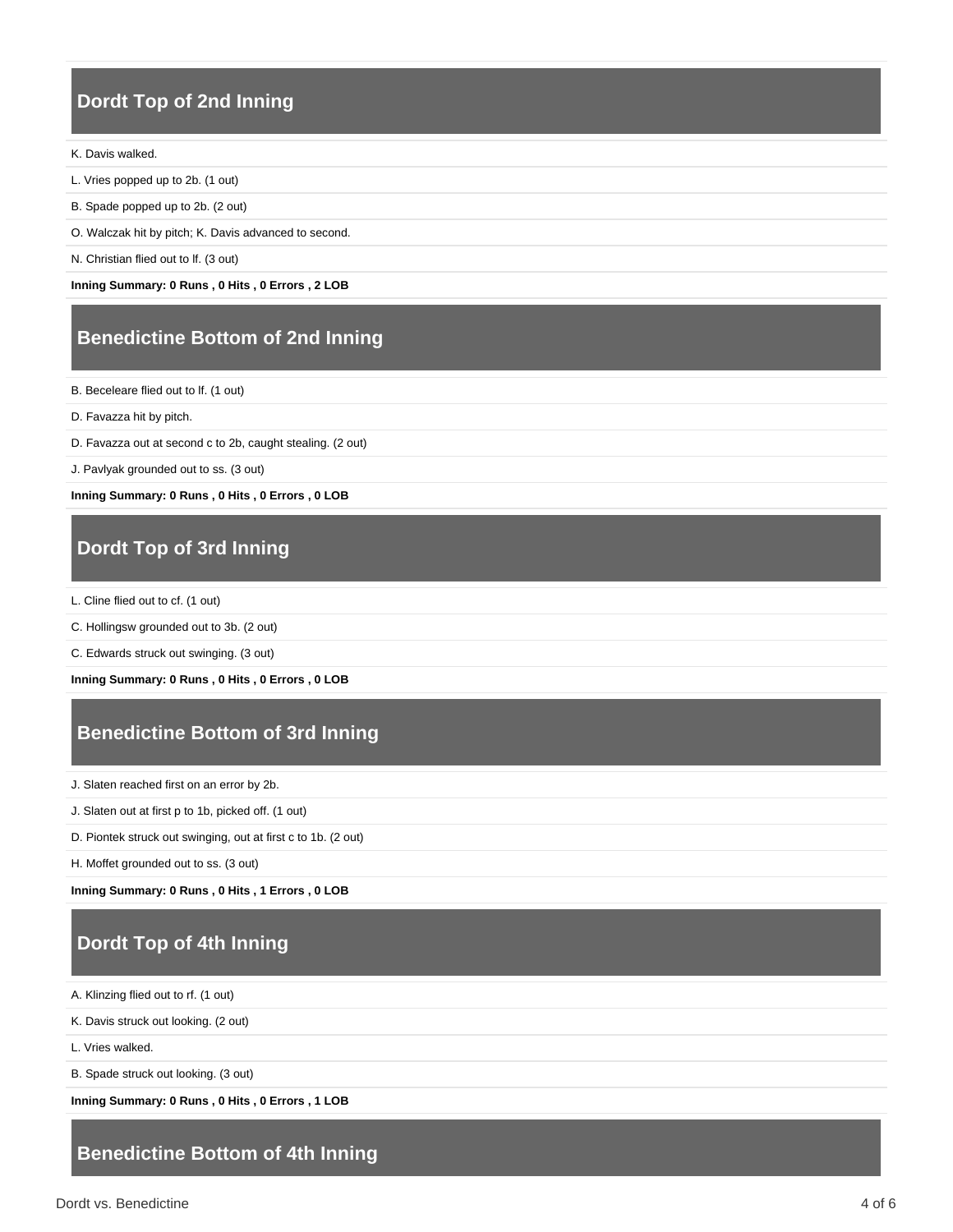# **Dordt Top of 2nd Inning**

#### K. Davis walked.

- L. Vries popped up to 2b. (1 out)
- B. Spade popped up to 2b. (2 out)
- O. Walczak hit by pitch; K. Davis advanced to second.
- N. Christian flied out to lf. (3 out)

**Inning Summary: 0 Runs , 0 Hits , 0 Errors , 2 LOB**

### **Benedictine Bottom of 2nd Inning**

B. Beceleare flied out to lf. (1 out)

- D. Favazza hit by pitch.
- D. Favazza out at second c to 2b, caught stealing. (2 out)
- J. Pavlyak grounded out to ss. (3 out)

**Inning Summary: 0 Runs , 0 Hits , 0 Errors , 0 LOB**

# **Dordt Top of 3rd Inning**

- L. Cline flied out to cf. (1 out)
- C. Hollingsw grounded out to 3b. (2 out)
- C. Edwards struck out swinging. (3 out)

**Inning Summary: 0 Runs , 0 Hits , 0 Errors , 0 LOB**

# **Benedictine Bottom of 3rd Inning**

J. Slaten reached first on an error by 2b.

- J. Slaten out at first p to 1b, picked off. (1 out)
- D. Piontek struck out swinging, out at first c to 1b. (2 out)

H. Moffet grounded out to ss. (3 out)

**Inning Summary: 0 Runs , 0 Hits , 1 Errors , 0 LOB**

# **Dordt Top of 4th Inning**

A. Klinzing flied out to rf. (1 out)

K. Davis struck out looking. (2 out)

L. Vries walked.

B. Spade struck out looking. (3 out)

**Inning Summary: 0 Runs , 0 Hits , 0 Errors , 1 LOB**

### **Benedictine Bottom of 4th Inning**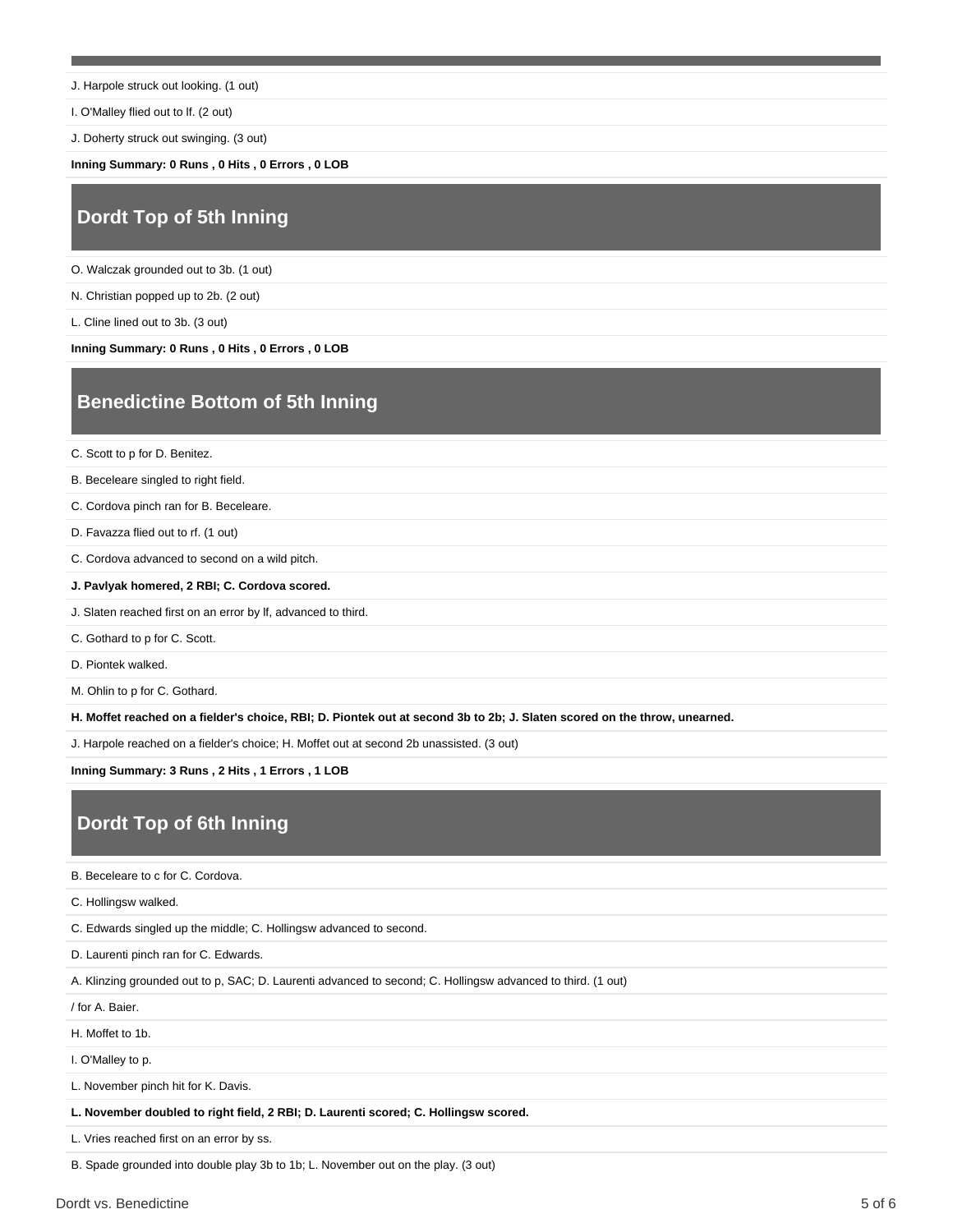J. Harpole struck out looking. (1 out)

I. O'Malley flied out to lf. (2 out)

J. Doherty struck out swinging. (3 out)

**Inning Summary: 0 Runs , 0 Hits , 0 Errors , 0 LOB**

# **Dordt Top of 5th Inning**

O. Walczak grounded out to 3b. (1 out)

N. Christian popped up to 2b. (2 out)

L. Cline lined out to 3b. (3 out)

**Inning Summary: 0 Runs , 0 Hits , 0 Errors , 0 LOB**

# **Benedictine Bottom of 5th Inning**

C. Scott to p for D. Benitez.

B. Beceleare singled to right field.

C. Cordova pinch ran for B. Beceleare.

D. Favazza flied out to rf. (1 out)

C. Cordova advanced to second on a wild pitch.

**J. Pavlyak homered, 2 RBI; C. Cordova scored.**

J. Slaten reached first on an error by lf, advanced to third.

C. Gothard to p for C. Scott.

D. Piontek walked.

M. Ohlin to p for C. Gothard.

**H. Moffet reached on a fielder's choice, RBI; D. Piontek out at second 3b to 2b; J. Slaten scored on the throw, unearned.**

J. Harpole reached on a fielder's choice; H. Moffet out at second 2b unassisted. (3 out)

**Inning Summary: 3 Runs , 2 Hits , 1 Errors , 1 LOB**

# **Dordt Top of 6th Inning**

B. Beceleare to c for C. Cordova.

C. Hollingsw walked.

C. Edwards singled up the middle; C. Hollingsw advanced to second.

D. Laurenti pinch ran for C. Edwards.

A. Klinzing grounded out to p, SAC; D. Laurenti advanced to second; C. Hollingsw advanced to third. (1 out)

/ for A. Baier.

H. Moffet to 1b.

I. O'Malley to p.

L. November pinch hit for K. Davis.

**L. November doubled to right field, 2 RBI; D. Laurenti scored; C. Hollingsw scored.**

L. Vries reached first on an error by ss.

B. Spade grounded into double play 3b to 1b; L. November out on the play. (3 out)